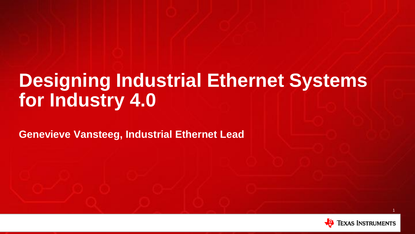## **Designing Industrial Ethernet Systems for Industry 4.0**

**Genevieve Vansteeg, Industrial Ethernet Lead**

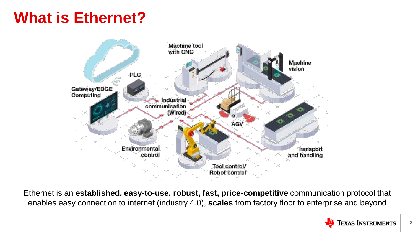#### **What is Ethernet?**



Ethernet is an **established, easy-to-use, robust, fast, price-competitive** communication protocol that enables easy connection to internet (industry 4.0), **scales** from factory floor to enterprise and beyond

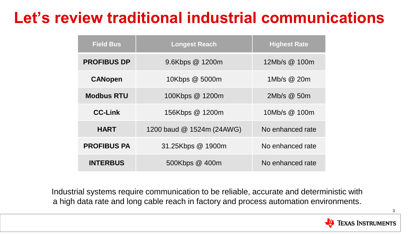### **Let's review traditional industrial communications**

| <b>Field Bus</b>   | <b>Longest Reach</b>      | <b>Highest Rate</b> |  |  |
|--------------------|---------------------------|---------------------|--|--|
| <b>PROFIBUS DP</b> | 9.6Kbps @ 1200m           | 12Mb/s @ 100m       |  |  |
| <b>CANopen</b>     | 10Kbps @ 5000m            | 1Mb/s @ 20m         |  |  |
| <b>Modbus RTU</b>  | 100Kbps @ 1200m           | 2Mb/s @ 50m         |  |  |
| <b>CC-Link</b>     | 156Kbps @ 1200m           | 10Mb/s @ 100m       |  |  |
| <b>HART</b>        | 1200 baud @ 1524m (24AWG) | No enhanced rate    |  |  |
| <b>PROFIBUS PA</b> | 31.25Kbps @ 1900m         | No enhanced rate    |  |  |
| <b>INTERBUS</b>    | 500Kbps @ 400m            | No enhanced rate    |  |  |

Industrial systems require communication to be reliable, accurate and deterministic with a high data rate and long cable reach in factory and process automation environments.

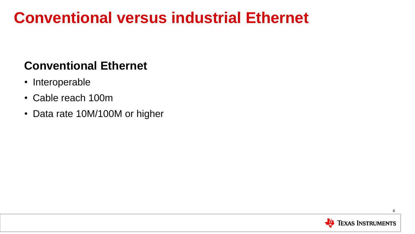#### **Conventional versus industrial Ethernet**

#### **Conventional Ethernet**

- Interoperable
- Cable reach 100m
- Data rate 10M/100M or higher

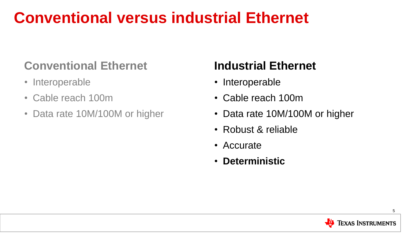### **Conventional versus industrial Ethernet**

#### **Conventional Ethernet**

- Interoperable
- Cable reach 100m
- Data rate 10M/100M or higher

#### **Industrial Ethernet**

- Interoperable
- Cable reach 100m
- Data rate 10M/100M or higher
- Robust & reliable
- Accurate
- **Deterministic**

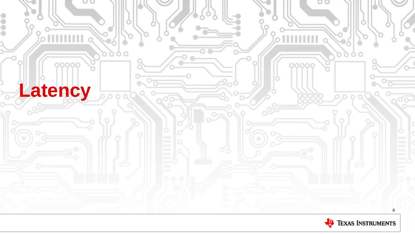

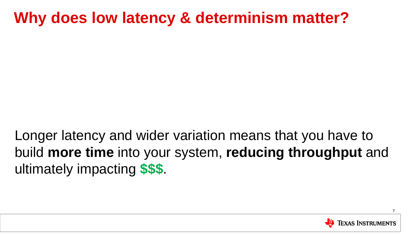#### **Why does low latency & determinism matter?**

Longer latency and wider variation means that you have to build **more time** into your system, **reducing throughput** and ultimately impacting **\$\$\$**.

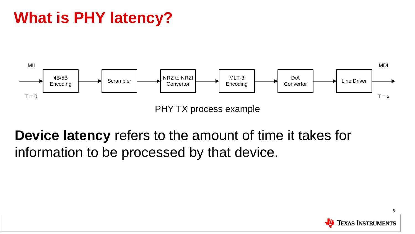### **What is PHY latency?**



#### **Device latency** refers to the amount of time it takes for information to be processed by that device.

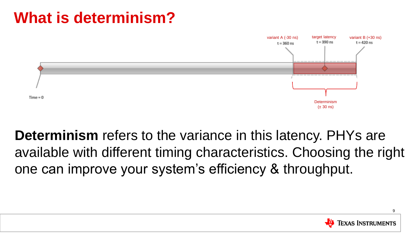

**Determinism** refers to the variance in this latency. PHYs are available with different timing characteristics. Choosing the right one can improve your system's efficiency & throughput.

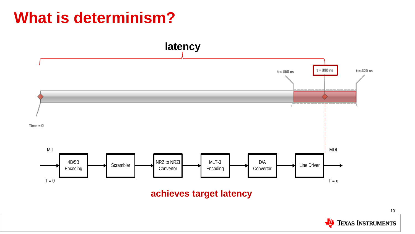

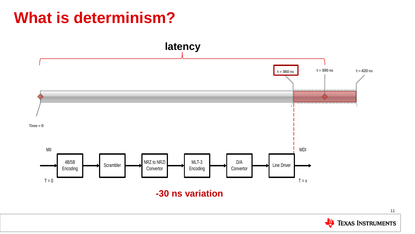

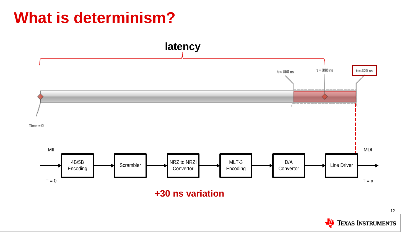

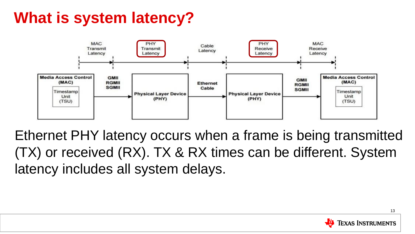### **What is system latency?**



Ethernet PHY latency occurs when a frame is being transmitted (TX) or received (RX). TX & RX times can be different. System latency includes all system delays.

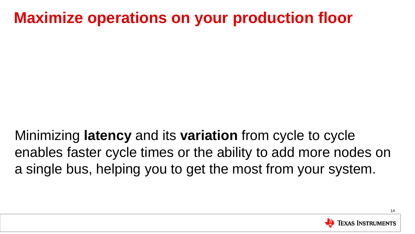#### **Maximize operations on your production floor**

Minimizing **latency** and its **variation** from cycle to cycle enables faster cycle times or the ability to add more nodes on a single bus, helping you to get the most from your system.

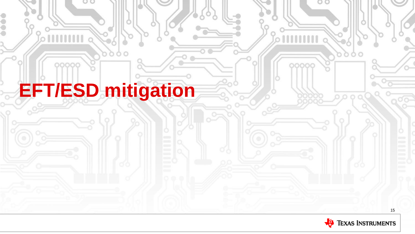# **EFT/ESD mitigation**

O O

0000

 $\circ$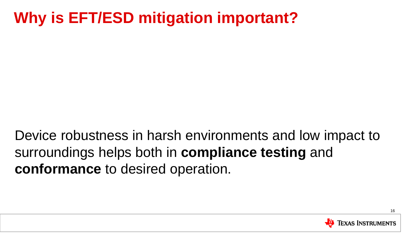#### **Why is EFT/ESD mitigation important?**

Device robustness in harsh environments and low impact to surroundings helps both in **compliance testing** and **conformance** to desired operation.

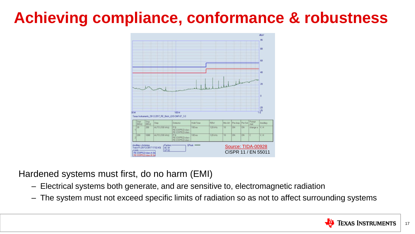#### **Achieving compliance, conformance & robustness**



Hardened systems must first, do no harm (EMI)

- Electrical systems both generate, and are sensitive to, electromagnetic radiation
- The system must not exceed specific limits of radiation so as not to affect surrounding systems

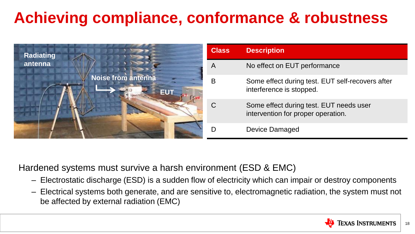## **Achieving compliance, conformance & robustness**



Hardened systems must survive a harsh environment (ESD & EMC)

- Electrostatic discharge (ESD) is a sudden flow of electricity which can impair or destroy components
- Electrical systems both generate, and are sensitive to, electromagnetic radiation, the system must not be affected by external radiation (EMC)

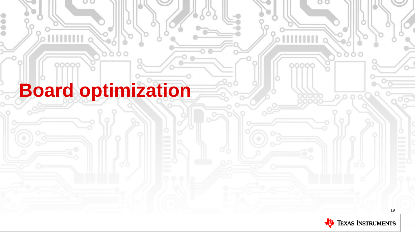# **Board optimization**

O O

0000

 $\circ$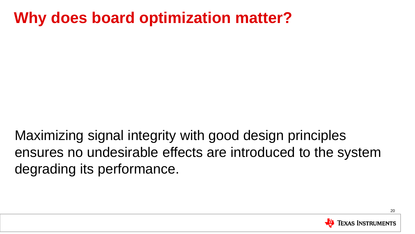#### **Why does board optimization matter?**

Maximizing signal integrity with good design principles ensures no undesirable effects are introduced to the system degrading its performance.

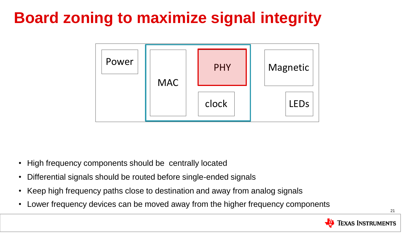### **Board zoning to maximize signal integrity**



- High frequency components should be centrally located
- Differential signals should be routed before single-ended signals
- Keep high frequency paths close to destination and away from analog signals
- Lower frequency devices can be moved away from the higher frequency components

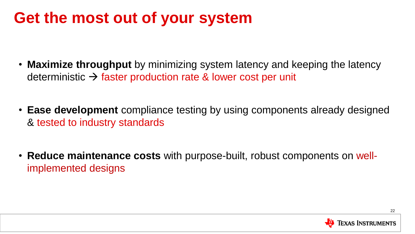#### **Get the most out of your system**

- **Maximize throughput** by minimizing system latency and keeping the latency deterministic  $\rightarrow$  faster production rate & lower cost per unit
- **Ease development** compliance testing by using components already designed & tested to industry standards
- **Reduce maintenance costs** with purpose-built, robust components on wellimplemented designs

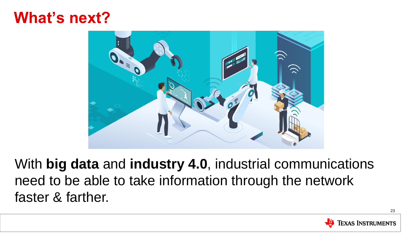#### **What's next?**



With **big data** and **industry 4.0**, industrial communications need to be able to take information through the network faster & farther.

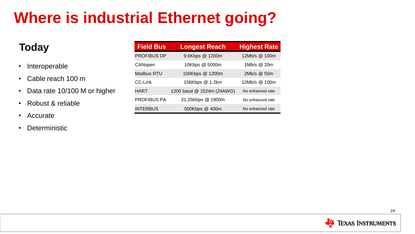## **Where is industrial Ethernet going?**

#### **Today**

- Interoperable
- Cable reach 100 m
- Data rate 10/100 M or higher
- Robust & reliable
- Accurate
- Deterministic

| <b>Field Bus</b>   | <b>Longest Reach</b>      | <b>Highest Rate</b> |  |
|--------------------|---------------------------|---------------------|--|
| <b>PROFIBUS DP</b> | 9.6Kbps @ 1200m           | 12Mb/s @ 100m       |  |
| CANopen            | 10Kbps @ 5000m            | 1Mb/s @ 20m         |  |
| Modbus RTU         | 100Kbps @ 1200m           | $2Mb/s$ $@.50m$     |  |
| CC-I ink           | 156Kbps @ 1.2km           | 10Mb/s @ 100m       |  |
| <b>HART</b>        | 1200 baud @ 1524m (24AWG) | No enhanced rate    |  |
| <b>PROFIBUS PA</b> | 31.25Kbps @ 1900m         | No enhanced rate    |  |
| <b>INTERBUS</b>    | 500Kbps @ 400m            | No enhanced rate    |  |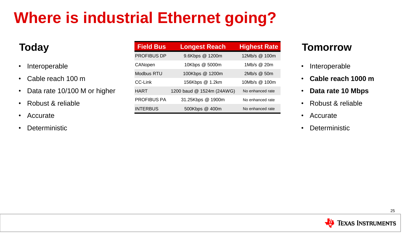## **Where is industrial Ethernet going?**

- Interoperable
- Cable reach 100 m
- Data rate 10/100 M or higher
- Robust & reliable
- Accurate
- Deterministic

| <b>Today</b>        |                                | <b>Field Bus</b>   | <b>Longest Reach</b>      | <b>Highest Rate</b> | <b>Tomorrow</b>            |
|---------------------|--------------------------------|--------------------|---------------------------|---------------------|----------------------------|
|                     |                                | <b>PROFIBUS DP</b> | 9.6Kbps @ 1200m           | 12Mb/s @ 100m       |                            |
|                     | • Interoperable                | CANopen            | 10Kbps @ 5000m            | 1Mb/s @ 20m         | Interoperable<br>$\bullet$ |
| • Cable reach 100 m |                                | Modbus RTU         | 100Kbps @ 1200m           | 2Mb/s @ 50m         |                            |
|                     |                                | CC-Link            | 156Kbps @ 1.2km           | 10Mb/s @ 100m       | Cable reach '              |
|                     | • Data rate 10/100 M or higher | <b>HART</b>        | 1200 baud @ 1524m (24AWG) | No enhanced rate    | Data rate 10<br>$\bullet$  |
| • Robust & reliable |                                | <b>PROFIBUS PA</b> | 31.25Kbps @ 1900m         | No enhanced rate    | Robust & relia<br>٠        |
|                     |                                | <b>INTERBUS</b>    | 500Kbps @ 400m            | No enhanced rate    |                            |

- Interoperable
- **Cable reach 1000 m**
- **Data rate 10 Mbps**
- Robust & reliable
- Accurate
- Deterministic

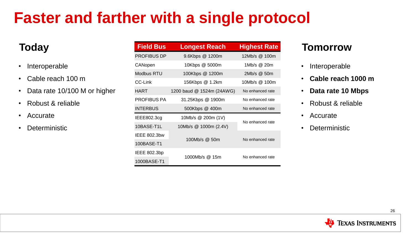### **Faster and farther with a single protocol**

- Interoperable
- Cable reach 100 m
- Data rate 10/100 M or higher
- Robust & reliable
- Accurate
- Deterministic

| Today                          | <b>Field Bus</b>   | <b>Longest Reach</b>      |                  | Tomorrow                   |
|--------------------------------|--------------------|---------------------------|------------------|----------------------------|
|                                | <b>PROFIBUS DP</b> | 9.6Kbps @ 1200m           | 12Mb/s @ 100m    |                            |
| • Interoperable                | CANopen            | 10Kbps @ 5000m            | 1Mb/s @ 20m      | Interoperable<br>$\bullet$ |
|                                | <b>Modbus RTU</b>  | 100Kbps @ 1200m           | 2Mb/s @ 50m      |                            |
| • Cable reach 100 m            | CC-Link            | 156Kbps @ 1.2km           | 10Mb/s @ 100m    | Cable reach 1<br>٠         |
| • Data rate 10/100 M or higher | <b>HART</b>        | 1200 baud @ 1524m (24AWG) | No enhanced rate | Data rate 10<br>$\bullet$  |
| • Robust & reliable            | <b>PROFIBUS PA</b> | 31.25Kbps @ 1900m         | No enhanced rate | Robust & relia<br>٠        |
|                                | <b>INTERBUS</b>    | 500Kbps @ 400m            | No enhanced rate |                            |
| • Accurate                     | IEEE802.3cg        | 10Mb/s @ 200m (1V)        |                  | Accurate<br>٠              |
| • Deterministic                | 10BASE-T1L         | 10Mb/s @ 1000m (2.4V)     | No enhanced rate | <b>Deterministic</b><br>٠  |
|                                | IEEE 802.3bw       |                           |                  |                            |
|                                | 100BASE-T1         | 100Mb/s @ 50m             | No enhanced rate |                            |
|                                | IEEE 802.3bp       |                           |                  |                            |
|                                | 1000BASE-T1        | 1000Mb/s @ 15m            | No enhanced rate |                            |

- Interoperable
- **Cable reach 1000 m**
- **Data rate 10 Mbps**
- Robust & reliable
- Accurate
- Deterministic

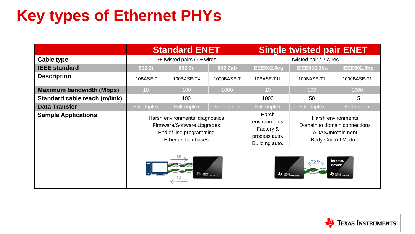### **Key types of Ethernet PHYs**

|                                 | <b>Standard ENET</b>                                                                                                             |                    |                    | <b>Single twisted pair ENET</b>                                       |                                                                                                       |             |
|---------------------------------|----------------------------------------------------------------------------------------------------------------------------------|--------------------|--------------------|-----------------------------------------------------------------------|-------------------------------------------------------------------------------------------------------|-------------|
| <b>Cable type</b>               | 2+ twisted pairs / 4+ wires                                                                                                      |                    |                    | 1 twisted pair / 2 wires                                              |                                                                                                       |             |
| <b>IEEE</b> standard            | 802.3ab<br>802.3i<br>802.3u                                                                                                      |                    | <b>IEEE802.3cg</b> | <b>IEEE802.3bw</b>                                                    | IEEE802.3bp                                                                                           |             |
| <b>Description</b>              | 10BASE-T                                                                                                                         | 100BASE-TX         | 1000BASE-T         | 10BASE-T1L                                                            | 100BASE-T1                                                                                            | 1000BASE-T1 |
| <b>Maximum bandwidth (Mbps)</b> | 10 <sup>1</sup>                                                                                                                  | 100                | 1000               | 10                                                                    | 100                                                                                                   | 1000        |
| Standard cable reach (m/link)   | 100                                                                                                                              |                    | 1000               | 50                                                                    | 15                                                                                                    |             |
| <b>Data Transfer</b>            | Full-duplex                                                                                                                      | <b>Full-duplex</b> | Full-duplex        | Full-duplex                                                           | Full-duplex                                                                                           | Full-duplex |
| <b>Sample Applications</b>      | Harsh environments, diagnostics<br>Firmware/Software Upgrades<br>End of line programming<br>Ethernet fieldbuses<br><b>BEILAS</b> |                    |                    | Harsh<br>environments<br>Factory &<br>process auto.<br>Building auto. | Harsh environments<br>Domain to domain connections<br>ADAS/Infotainment<br><b>Body Control Module</b> |             |
|                                 |                                                                                                                                  |                    |                    | Interop.<br>:TX/R<br>device<br>TEXAS INSTRUMENTS                      |                                                                                                       |             |